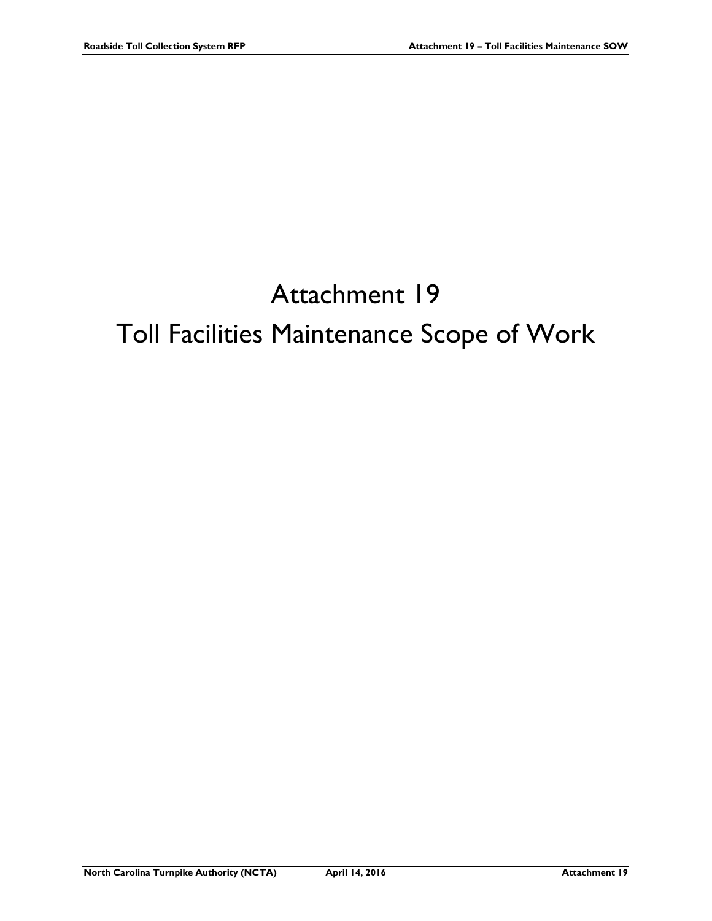# Attachment 19 Toll Facilities Maintenance Scope of Work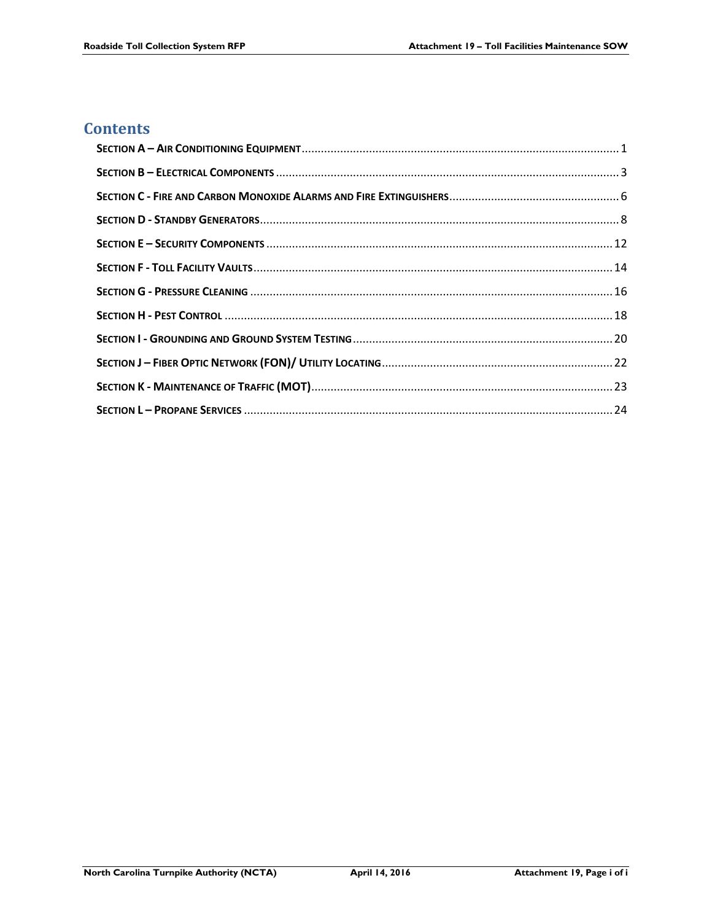# **Contents**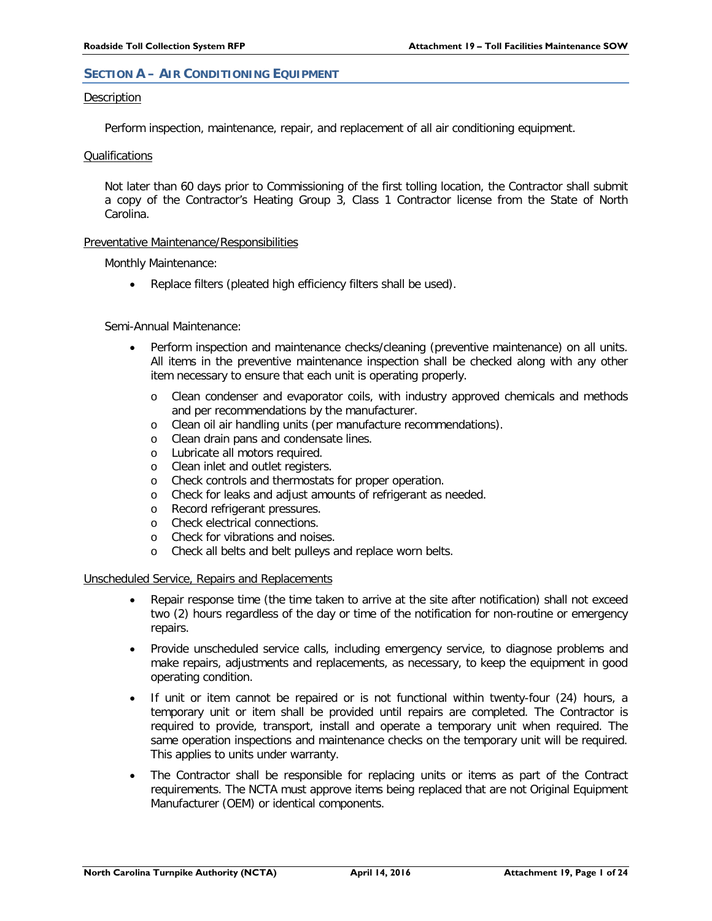# <span id="page-2-0"></span>**SECTION A – AIR CONDITIONING EQUIPMENT**

# Description

Perform inspection, maintenance, repair, and replacement of all air conditioning equipment.

# Qualifications

Not later than 60 days prior to Commissioning of the first tolling location, the Contractor shall submit a copy of the Contractor's Heating Group 3, Class 1 Contractor license from the State of North Carolina.

# Preventative Maintenance/Responsibilities

Monthly Maintenance:

Replace filters (pleated high efficiency filters shall be used).

# Semi-Annual Maintenance:

- Perform inspection and maintenance checks/cleaning (preventive maintenance) on all units. All items in the preventive maintenance inspection shall be checked along with any other item necessary to ensure that each unit is operating properly.
	- o Clean condenser and evaporator coils, with industry approved chemicals and methods and per recommendations by the manufacturer.
	- o Clean oil air handling units (per manufacture recommendations).
	- o Clean drain pans and condensate lines.
	- o Lubricate all motors required.
	- o Clean inlet and outlet registers.
	- o Check controls and thermostats for proper operation.
	- o Check for leaks and adjust amounts of refrigerant as needed.
	- o Record refrigerant pressures.
	- o Check electrical connections.
	- o Check for vibrations and noises.
	- o Check all belts and belt pulleys and replace worn belts.

# Unscheduled Service, Repairs and Replacements

- Repair response time (the time taken to arrive at the site after notification) shall not exceed two (2) hours regardless of the day or time of the notification for non-routine or emergency repairs.
- Provide unscheduled service calls, including emergency service, to diagnose problems and make repairs, adjustments and replacements, as necessary, to keep the equipment in good operating condition.
- If unit or item cannot be repaired or is not functional within twenty-four (24) hours, a temporary unit or item shall be provided until repairs are completed. The Contractor is required to provide, transport, install and operate a temporary unit when required. The same operation inspections and maintenance checks on the temporary unit will be required. This applies to units under warranty.
- The Contractor shall be responsible for replacing units or items as part of the Contract requirements. The NCTA must approve items being replaced that are not Original Equipment Manufacturer (OEM) or identical components.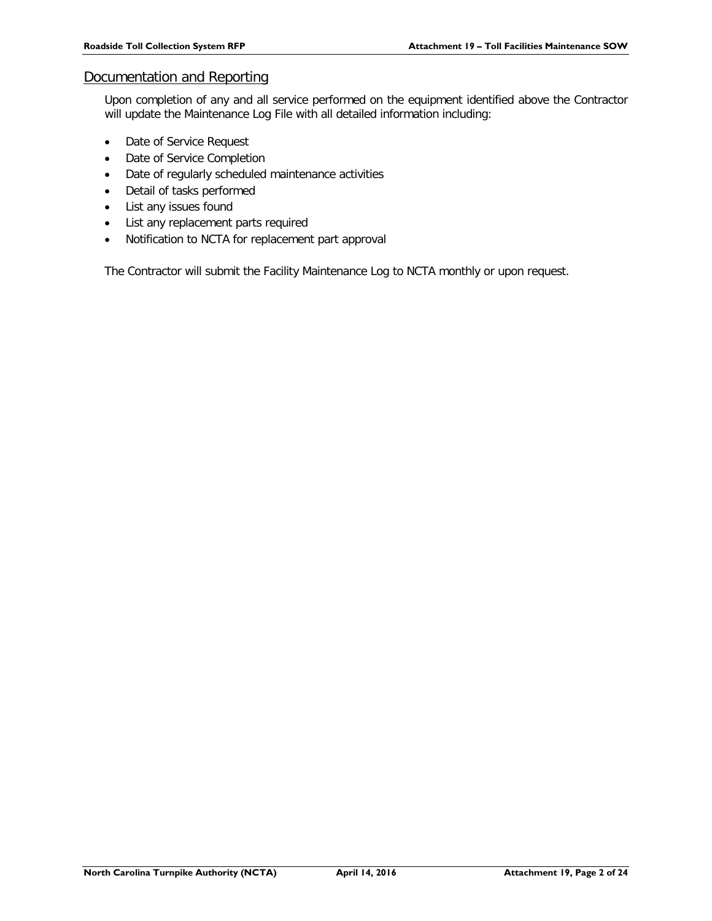# Documentation and Reporting

Upon completion of any and all service performed on the equipment identified above the Contractor will update the Maintenance Log File with all detailed information including:

- Date of Service Request
- Date of Service Completion
- Date of regularly scheduled maintenance activities
- Detail of tasks performed
- List any issues found
- List any replacement parts required
- Notification to NCTA for replacement part approval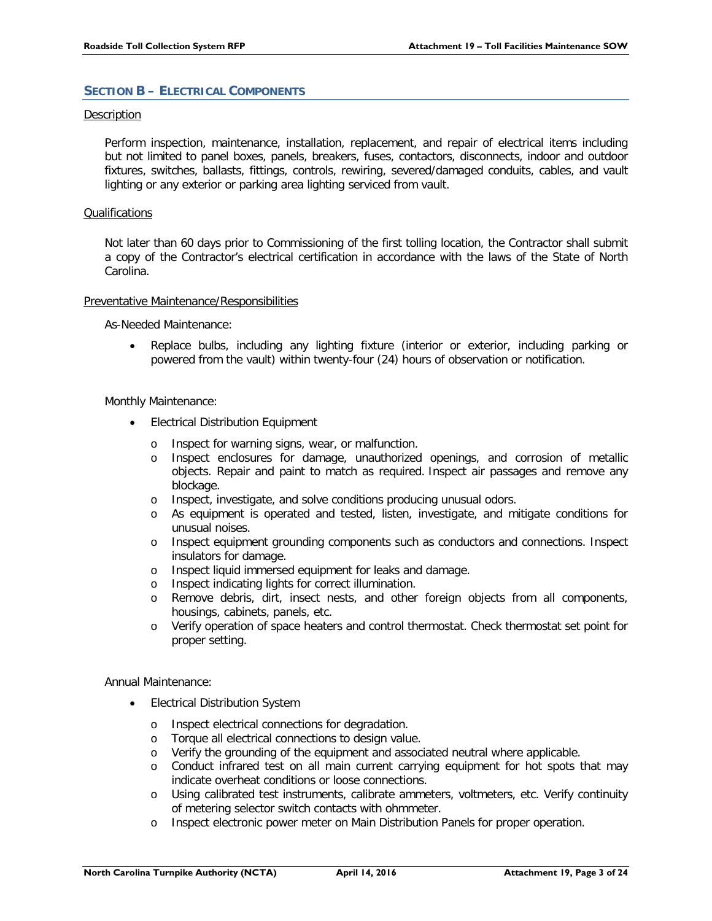# <span id="page-4-0"></span>**SECTION B – ELECTRICAL COMPONENTS**

# Description

Perform inspection, maintenance, installation, replacement, and repair of electrical items including but not limited to panel boxes, panels, breakers, fuses, contactors, disconnects, indoor and outdoor fixtures, switches, ballasts, fittings, controls, rewiring, severed/damaged conduits, cables, and vault lighting or any exterior or parking area lighting serviced from vault.

# Qualifications

Not later than 60 days prior to Commissioning of the first tolling location, the Contractor shall submit a copy of the Contractor's electrical certification in accordance with the laws of the State of North Carolina.

# Preventative Maintenance/Responsibilities

As-Needed Maintenance:

• Replace bulbs, including any lighting fixture (interior or exterior, including parking or powered from the vault) within twenty-four (24) hours of observation or notification.

# Monthly Maintenance:

- Electrical Distribution Equipment
	- o Inspect for warning signs, wear, or malfunction.
	- o Inspect enclosures for damage, unauthorized openings, and corrosion of metallic objects. Repair and paint to match as required. Inspect air passages and remove any blockage.
	- o Inspect, investigate, and solve conditions producing unusual odors.
	- o As equipment is operated and tested, listen, investigate, and mitigate conditions for unusual noises.
	- o Inspect equipment grounding components such as conductors and connections. Inspect insulators for damage.
	- o Inspect liquid immersed equipment for leaks and damage.
	- o Inspect indicating lights for correct illumination.
	- o Remove debris, dirt, insect nests, and other foreign objects from all components, housings, cabinets, panels, etc.
	- o Verify operation of space heaters and control thermostat. Check thermostat set point for proper setting.

Annual Maintenance:

- Electrical Distribution System
	- o Inspect electrical connections for degradation.
	- o Torque all electrical connections to design value.
	- o Verify the grounding of the equipment and associated neutral where applicable.
	- o Conduct infrared test on all main current carrying equipment for hot spots that may indicate overheat conditions or loose connections.
	- o Using calibrated test instruments, calibrate ammeters, voltmeters, etc. Verify continuity of metering selector switch contacts with ohmmeter.
	- o Inspect electronic power meter on Main Distribution Panels for proper operation.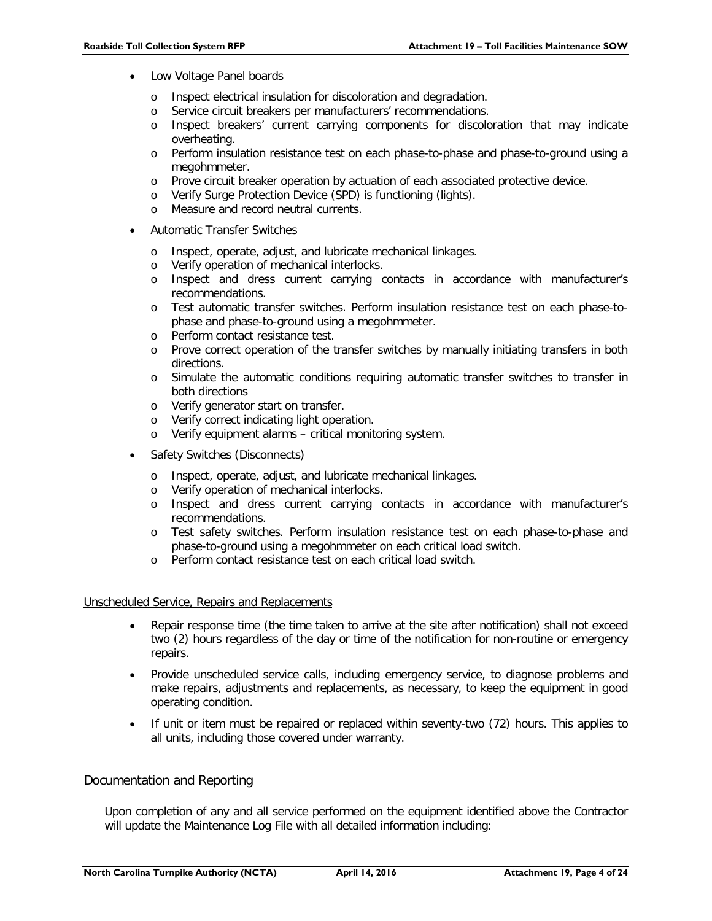- Low Voltage Panel boards
	- o Inspect electrical insulation for discoloration and degradation.
	- o Service circuit breakers per manufacturers' recommendations.
	- o Inspect breakers' current carrying components for discoloration that may indicate overheating.
	- o Perform insulation resistance test on each phase-to-phase and phase-to-ground using a megohmmeter.
	- o Prove circuit breaker operation by actuation of each associated protective device.
	- o Verify Surge Protection Device (SPD) is functioning (lights).
	- o Measure and record neutral currents.
- Automatic Transfer Switches
	- o Inspect, operate, adjust, and lubricate mechanical linkages.
	- o Verify operation of mechanical interlocks.
	- o Inspect and dress current carrying contacts in accordance with manufacturer's recommendations.
	- o Test automatic transfer switches. Perform insulation resistance test on each phase-tophase and phase-to-ground using a megohmmeter.
	- o Perform contact resistance test.
	- o Prove correct operation of the transfer switches by manually initiating transfers in both directions.
	- o Simulate the automatic conditions requiring automatic transfer switches to transfer in both directions
	- o Verify generator start on transfer.
	- o Verify correct indicating light operation.
	- o Verify equipment alarms critical monitoring system.
- Safety Switches (Disconnects)
	- o Inspect, operate, adjust, and lubricate mechanical linkages.
	- o Verify operation of mechanical interlocks.
	- o Inspect and dress current carrying contacts in accordance with manufacturer's recommendations.
	- o Test safety switches. Perform insulation resistance test on each phase-to-phase and phase-to-ground using a megohmmeter on each critical load switch.
	- o Perform contact resistance test on each critical load switch.

# Unscheduled Service, Repairs and Replacements

- Repair response time (the time taken to arrive at the site after notification) shall not exceed two (2) hours regardless of the day or time of the notification for non-routine or emergency repairs.
- Provide unscheduled service calls, including emergency service, to diagnose problems and make repairs, adjustments and replacements, as necessary, to keep the equipment in good operating condition.
- If unit or item must be repaired or replaced within seventy-two (72) hours. This applies to all units, including those covered under warranty.

# Documentation and Reporting

Upon completion of any and all service performed on the equipment identified above the Contractor will update the Maintenance Log File with all detailed information including: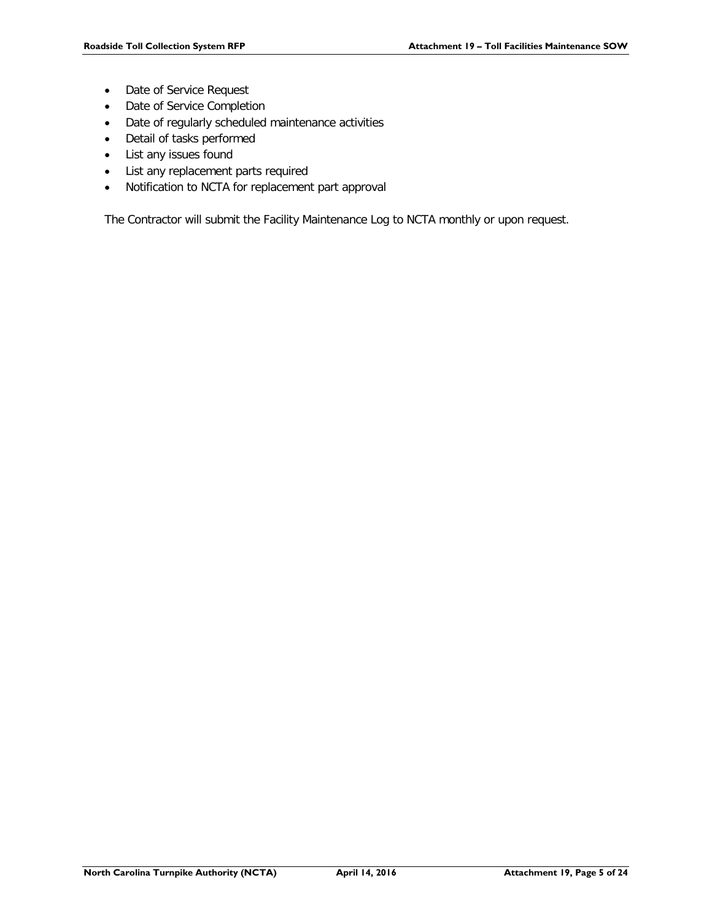- Date of Service Request
- Date of Service Completion
- Date of regularly scheduled maintenance activities
- Detail of tasks performed
- List any issues found
- List any replacement parts required
- Notification to NCTA for replacement part approval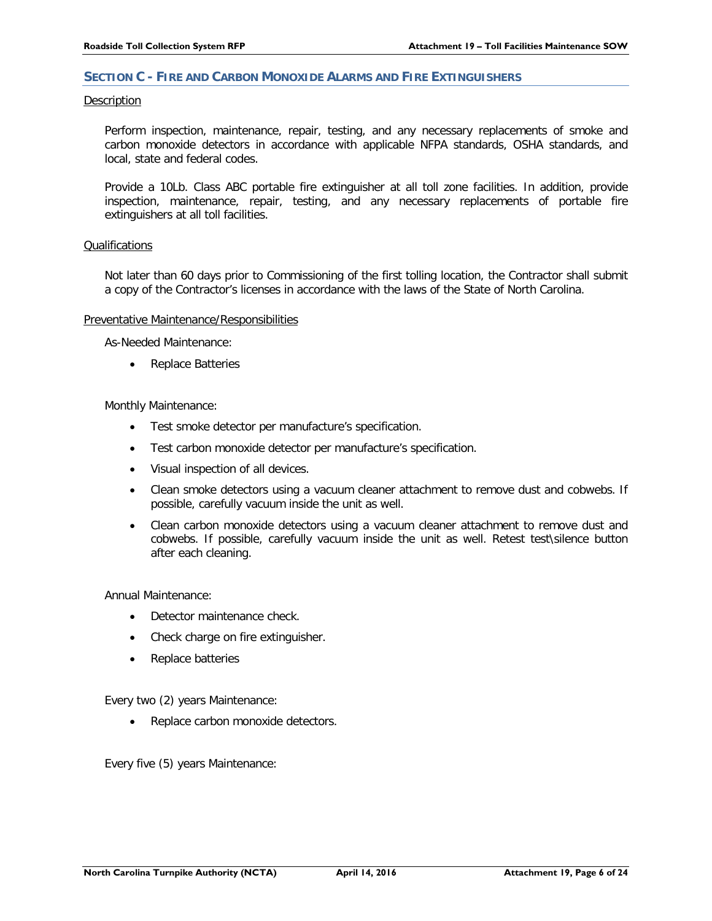# <span id="page-7-0"></span>**SECTION C - FIRE AND CARBON MONOXIDE ALARMS AND FIRE EXTINGUISHERS**

#### Description

Perform inspection, maintenance, repair, testing, and any necessary replacements of smoke and carbon monoxide detectors in accordance with applicable NFPA standards, OSHA standards, and local, state and federal codes.

Provide a 10Lb. Class ABC portable fire extinguisher at all toll zone facilities. In addition, provide inspection, maintenance, repair, testing, and any necessary replacements of portable fire extinguishers at all toll facilities.

# Qualifications

Not later than 60 days prior to Commissioning of the first tolling location, the Contractor shall submit a copy of the Contractor's licenses in accordance with the laws of the State of North Carolina.

# Preventative Maintenance/Responsibilities

As-Needed Maintenance:

Replace Batteries

Monthly Maintenance:

- Test smoke detector per manufacture's specification.
- Test carbon monoxide detector per manufacture's specification.
- Visual inspection of all devices.
- Clean smoke detectors using a vacuum cleaner attachment to remove dust and cobwebs. If possible, carefully vacuum inside the unit as well.
- Clean carbon monoxide detectors using a vacuum cleaner attachment to remove dust and cobwebs. If possible, carefully vacuum inside the unit as well. Retest test\silence button after each cleaning.

Annual Maintenance:

- Detector maintenance check.
- Check charge on fire extinguisher.
- Replace batteries

Every two (2) years Maintenance:

• Replace carbon monoxide detectors.

Every five (5) years Maintenance: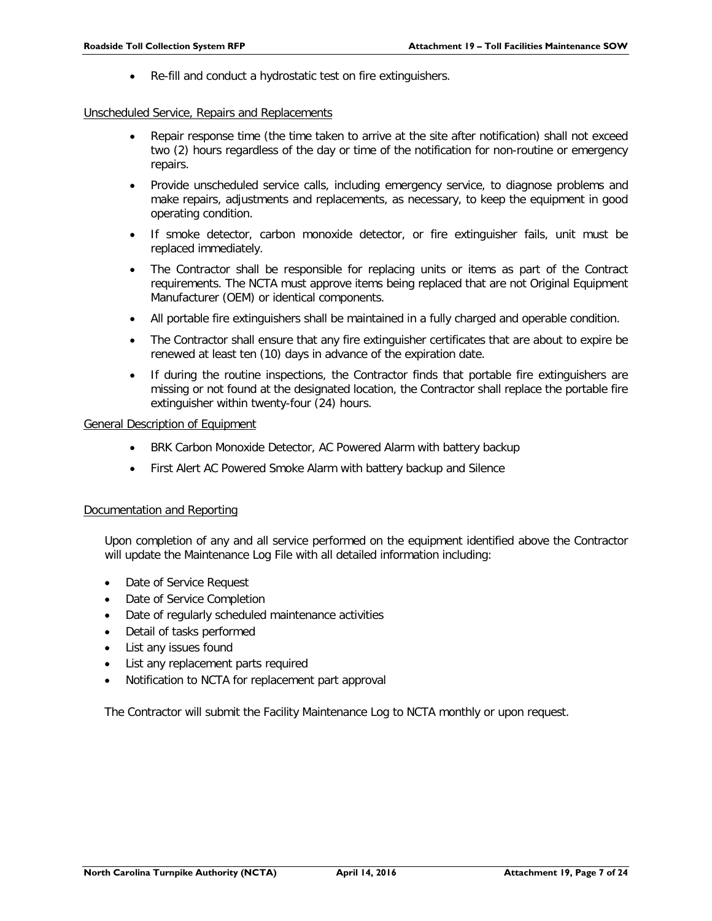• Re-fill and conduct a hydrostatic test on fire extinguishers.

# Unscheduled Service, Repairs and Replacements

- Repair response time (the time taken to arrive at the site after notification) shall not exceed two (2) hours regardless of the day or time of the notification for non-routine or emergency repairs.
- Provide unscheduled service calls, including emergency service, to diagnose problems and make repairs, adjustments and replacements, as necessary, to keep the equipment in good operating condition.
- If smoke detector, carbon monoxide detector, or fire extinguisher fails, unit must be replaced immediately.
- The Contractor shall be responsible for replacing units or items as part of the Contract requirements. The NCTA must approve items being replaced that are not Original Equipment Manufacturer (OEM) or identical components.
- All portable fire extinguishers shall be maintained in a fully charged and operable condition.
- The Contractor shall ensure that any fire extinguisher certificates that are about to expire be renewed at least ten (10) days in advance of the expiration date.
- If during the routine inspections, the Contractor finds that portable fire extinguishers are missing or not found at the designated location, the Contractor shall replace the portable fire extinguisher within twenty-four (24) hours.

# General Description of Equipment

- BRK Carbon Monoxide Detector, AC Powered Alarm with battery backup
- First Alert AC Powered Smoke Alarm with battery backup and Silence

# Documentation and Reporting

Upon completion of any and all service performed on the equipment identified above the Contractor will update the Maintenance Log File with all detailed information including:

- Date of Service Request
- Date of Service Completion
- Date of regularly scheduled maintenance activities
- Detail of tasks performed
- List any issues found
- List any replacement parts required
- Notification to NCTA for replacement part approval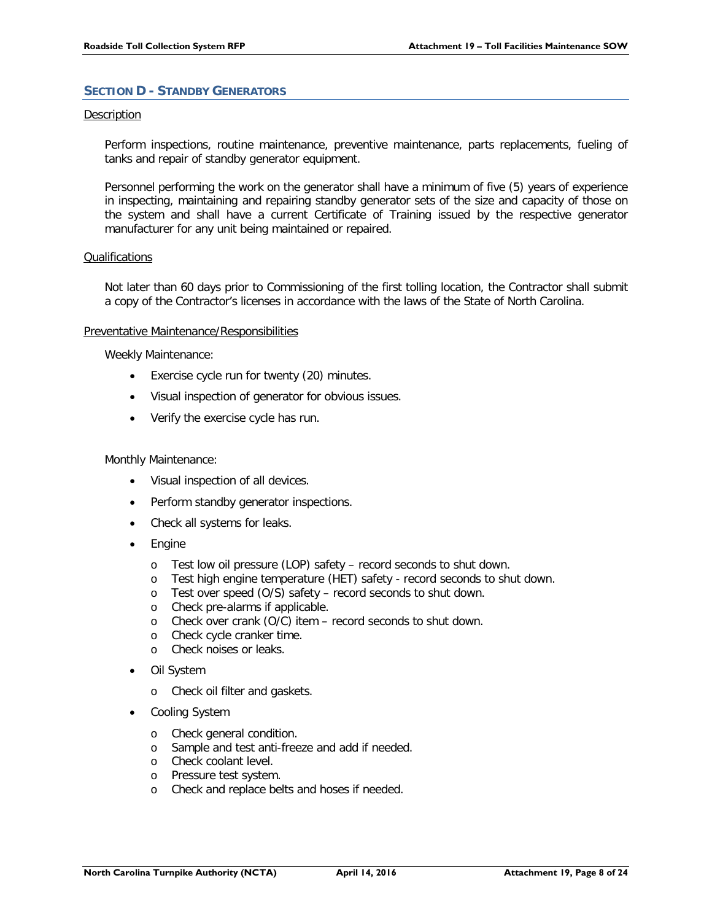# <span id="page-9-0"></span>**SECTION D - STANDBY GENERATORS**

# Description

Perform inspections, routine maintenance, preventive maintenance, parts replacements, fueling of tanks and repair of standby generator equipment.

Personnel performing the work on the generator shall have a minimum of five (5) years of experience in inspecting, maintaining and repairing standby generator sets of the size and capacity of those on the system and shall have a current Certificate of Training issued by the respective generator manufacturer for any unit being maintained or repaired.

# **Qualifications**

Not later than 60 days prior to Commissioning of the first tolling location, the Contractor shall submit a copy of the Contractor's licenses in accordance with the laws of the State of North Carolina.

# Preventative Maintenance/Responsibilities

Weekly Maintenance:

- Exercise cycle run for twenty (20) minutes.
- Visual inspection of generator for obvious issues.
- Verify the exercise cycle has run.

# Monthly Maintenance:

- Visual inspection of all devices.
- Perform standby generator inspections.
- Check all systems for leaks.
- **Engine** 
	- o Test low oil pressure (LOP) safety record seconds to shut down.
	- o Test high engine temperature (HET) safety record seconds to shut down.
	- o Test over speed (O/S) safety record seconds to shut down.
	- o Check pre-alarms if applicable.
	- o Check over crank (O/C) item record seconds to shut down.
	- o Check cycle cranker time.
	- o Check noises or leaks.
- Oil System
	- o Check oil filter and gaskets.
- Cooling System
	- o Check general condition.
	- o Sample and test anti-freeze and add if needed.
	- o Check coolant level.
	- o Pressure test system.
	- o Check and replace belts and hoses if needed.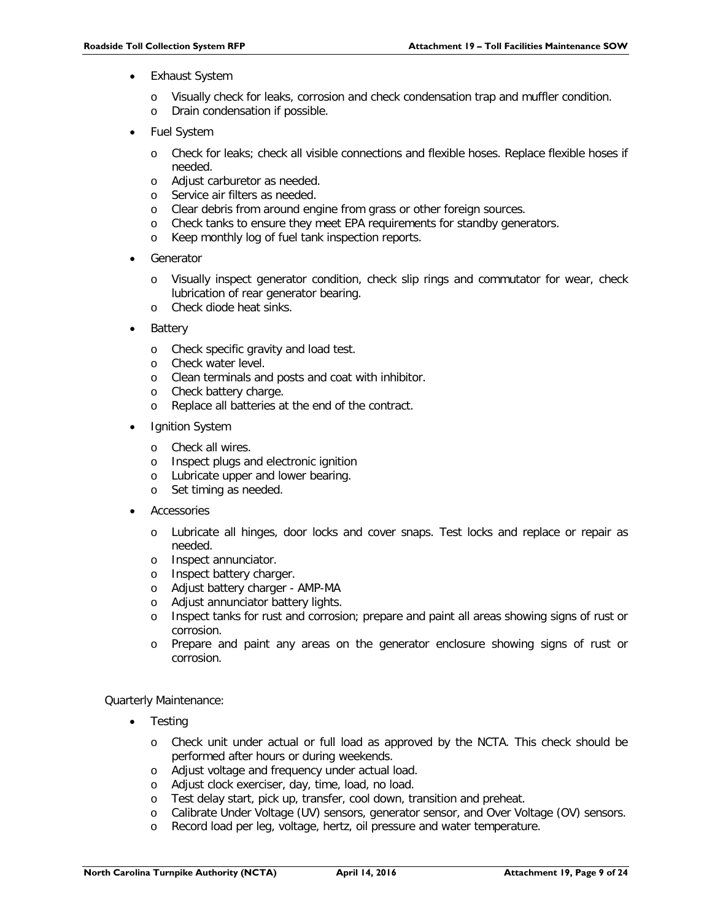- **Exhaust System** 
	- o Visually check for leaks, corrosion and check condensation trap and muffler condition.
	- o Drain condensation if possible.
- Fuel System
	- o Check for leaks; check all visible connections and flexible hoses. Replace flexible hoses if needed.
	- o Adjust carburetor as needed.
	- o Service air filters as needed.
	- o Clear debris from around engine from grass or other foreign sources.
	- o Check tanks to ensure they meet EPA requirements for standby generators.
	- o Keep monthly log of fuel tank inspection reports.
- **Generator** 
	- o Visually inspect generator condition, check slip rings and commutator for wear, check lubrication of rear generator bearing.
	- o Check diode heat sinks.
- **Battery** 
	- o Check specific gravity and load test.
	- o Check water level.
	- o Clean terminals and posts and coat with inhibitor.
	- o Check battery charge.
	- o Replace all batteries at the end of the contract.
- **Ignition System** 
	- o Check all wires.
	- o Inspect plugs and electronic ignition
	- o Lubricate upper and lower bearing.
	- o Set timing as needed.
- **Accessories** 
	- o Lubricate all hinges, door locks and cover snaps. Test locks and replace or repair as needed.
	- o Inspect annunciator.
	- o Inspect battery charger.
	- o Adjust battery charger AMP-MA
	- o Adjust annunciator battery lights.
	- o Inspect tanks for rust and corrosion; prepare and paint all areas showing signs of rust or corrosion.
	- o Prepare and paint any areas on the generator enclosure showing signs of rust or corrosion.

Quarterly Maintenance:

- **Testing** 
	- o Check unit under actual or full load as approved by the NCTA. This check should be performed after hours or during weekends.
	- o Adjust voltage and frequency under actual load.
	- o Adjust clock exerciser, day, time, load, no load.
	- o Test delay start, pick up, transfer, cool down, transition and preheat.
	- o Calibrate Under Voltage (UV) sensors, generator sensor, and Over Voltage (OV) sensors.
	- o Record load per leg, voltage, hertz, oil pressure and water temperature.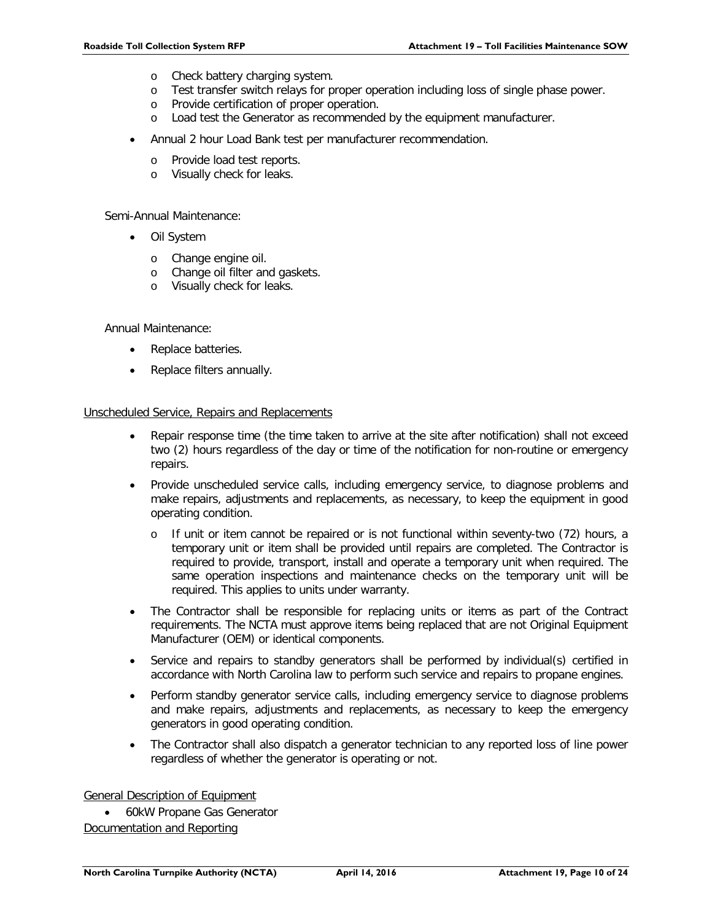- o Check battery charging system.
- o Test transfer switch relays for proper operation including loss of single phase power.
- o Provide certification of proper operation.
- o Load test the Generator as recommended by the equipment manufacturer.
- Annual 2 hour Load Bank test per manufacturer recommendation.
	- o Provide load test reports.
	- o Visually check for leaks.

Semi-Annual Maintenance:

- Oil System
	- o Change engine oil.
	- o Change oil filter and gaskets.
	- o Visually check for leaks.

Annual Maintenance:

- Replace batteries.
- Replace filters annually.

# Unscheduled Service, Repairs and Replacements

- Repair response time (the time taken to arrive at the site after notification) shall not exceed two (2) hours regardless of the day or time of the notification for non-routine or emergency repairs.
- Provide unscheduled service calls, including emergency service, to diagnose problems and make repairs, adjustments and replacements, as necessary, to keep the equipment in good operating condition.
	- o If unit or item cannot be repaired or is not functional within seventy-two (72) hours, a temporary unit or item shall be provided until repairs are completed. The Contractor is required to provide, transport, install and operate a temporary unit when required. The same operation inspections and maintenance checks on the temporary unit will be required. This applies to units under warranty.
- The Contractor shall be responsible for replacing units or items as part of the Contract requirements. The NCTA must approve items being replaced that are not Original Equipment Manufacturer (OEM) or identical components.
- Service and repairs to standby generators shall be performed by individual(s) certified in accordance with North Carolina law to perform such service and repairs to propane engines.
- Perform standby generator service calls, including emergency service to diagnose problems and make repairs, adjustments and replacements, as necessary to keep the emergency generators in good operating condition.
- The Contractor shall also dispatch a generator technician to any reported loss of line power regardless of whether the generator is operating or not.

General Description of Equipment

• 60kW Propane Gas Generator Documentation and Reporting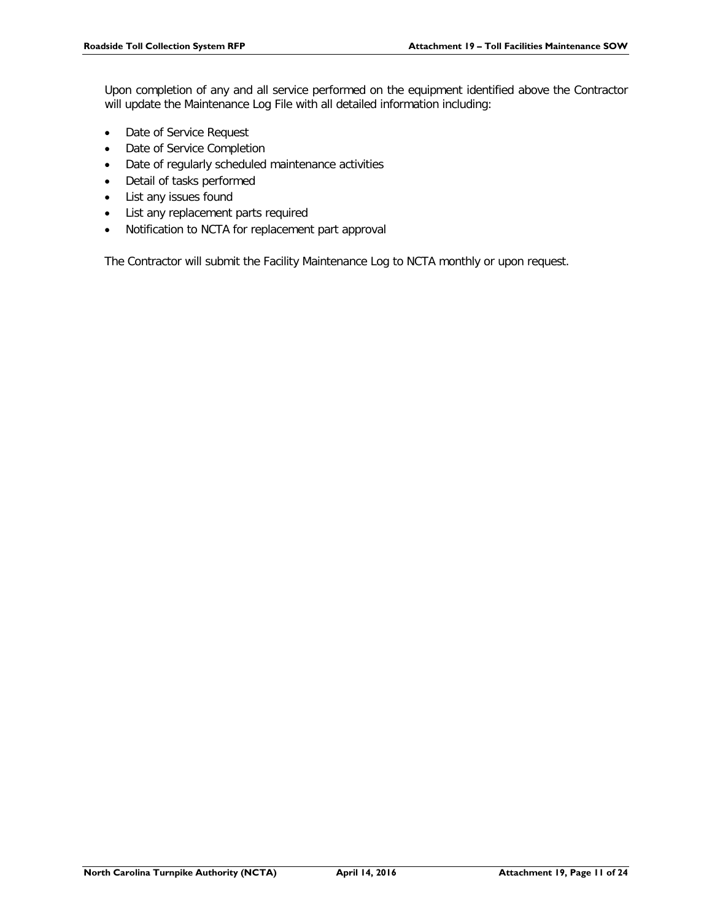Upon completion of any and all service performed on the equipment identified above the Contractor will update the Maintenance Log File with all detailed information including:

- Date of Service Request
- Date of Service Completion
- Date of regularly scheduled maintenance activities
- Detail of tasks performed
- List any issues found
- List any replacement parts required
- Notification to NCTA for replacement part approval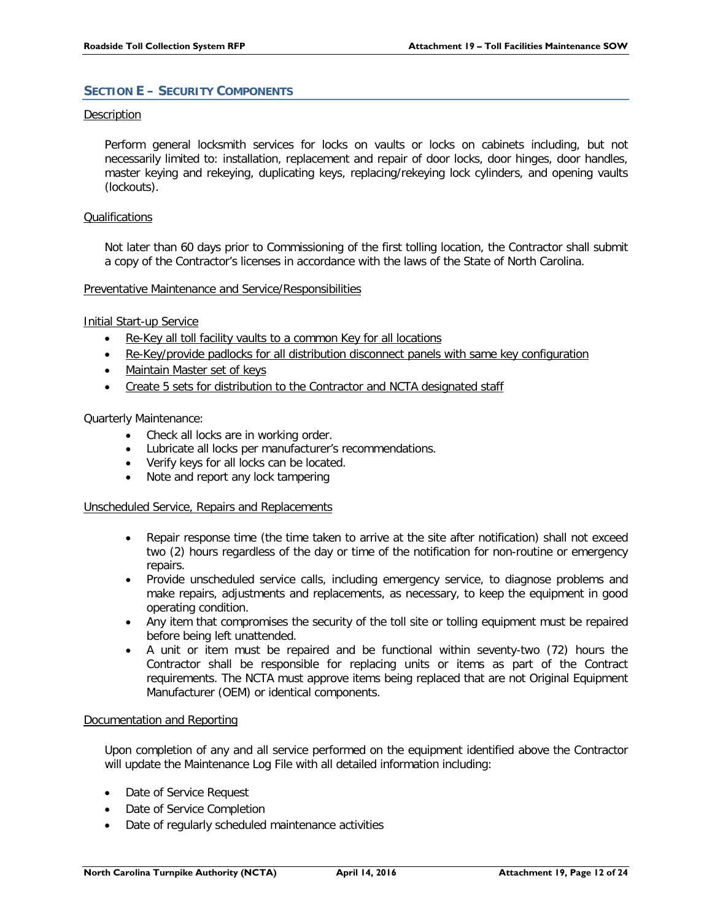# <span id="page-13-0"></span>**SECTION E – SECURITY COMPONENTS**

# Description

Perform general locksmith services for locks on vaults or locks on cabinets including, but not necessarily limited to: installation, replacement and repair of door locks, door hinges, door handles, master keying and rekeying, duplicating keys, replacing/rekeying lock cylinders, and opening vaults (lockouts).

# **Qualifications**

Not later than 60 days prior to Commissioning of the first tolling location, the Contractor shall submit a copy of the Contractor's licenses in accordance with the laws of the State of North Carolina.

# Preventative Maintenance and Service/Responsibilities

Initial Start-up Service

- Re-Key all toll facility vaults to a common Key for all locations
- Re-Key/provide padlocks for all distribution disconnect panels with same key configuration
- Maintain Master set of keys
- Create 5 sets for distribution to the Contractor and NCTA designated staff

# Quarterly Maintenance:

- Check all locks are in working order.
- Lubricate all locks per manufacturer's recommendations.
- Verify keys for all locks can be located.
- Note and report any lock tampering

# Unscheduled Service, Repairs and Replacements

- Repair response time (the time taken to arrive at the site after notification) shall not exceed two (2) hours regardless of the day or time of the notification for non-routine or emergency repairs.
- Provide unscheduled service calls, including emergency service, to diagnose problems and make repairs, adjustments and replacements, as necessary, to keep the equipment in good operating condition.
- Any item that compromises the security of the toll site or tolling equipment must be repaired before being left unattended.
- A unit or item must be repaired and be functional within seventy-two (72) hours the Contractor shall be responsible for replacing units or items as part of the Contract requirements. The NCTA must approve items being replaced that are not Original Equipment Manufacturer (OEM) or identical components.

# Documentation and Reporting

Upon completion of any and all service performed on the equipment identified above the Contractor will update the Maintenance Log File with all detailed information including:

- Date of Service Request
- Date of Service Completion
- Date of regularly scheduled maintenance activities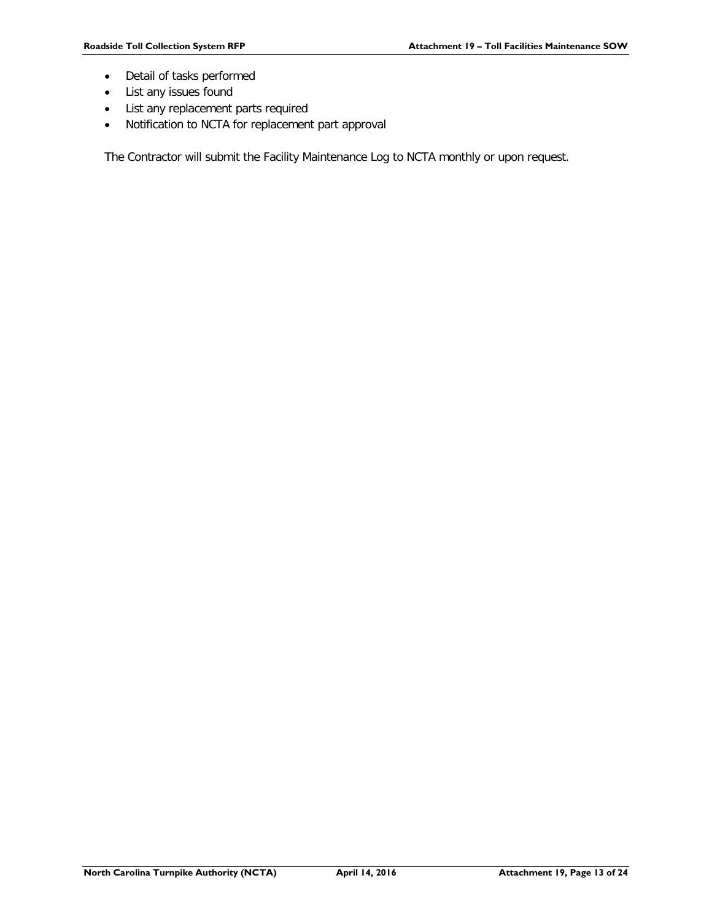- Detail of tasks performed
- List any issues found
- List any replacement parts required
- Notification to NCTA for replacement part approval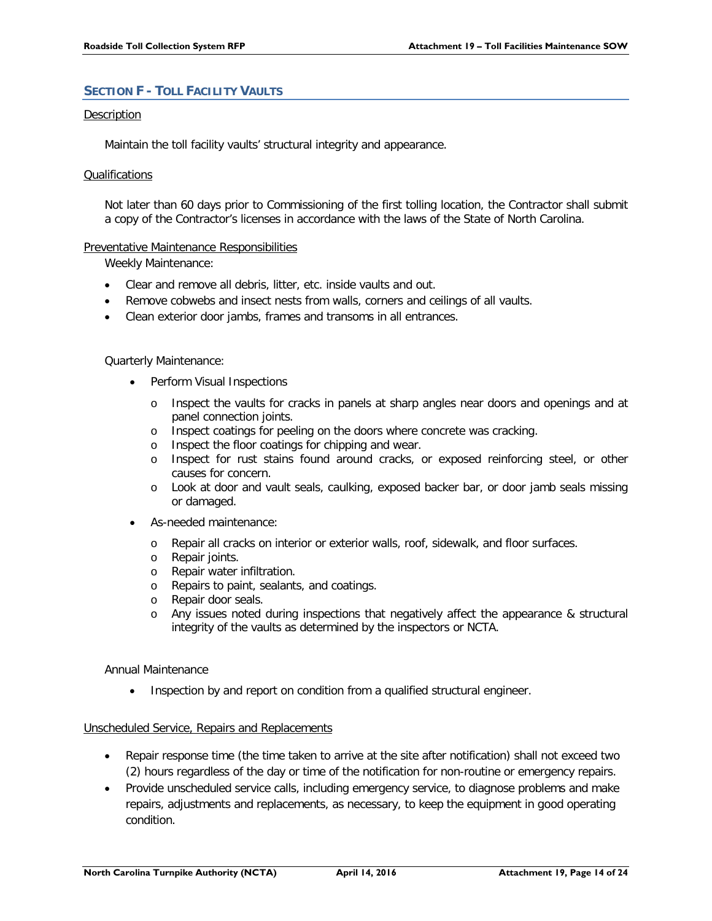# <span id="page-15-0"></span>**SECTION F - TOLL FACILITY VAULTS**

# Description

Maintain the toll facility vaults' structural integrity and appearance.

# Qualifications

Not later than 60 days prior to Commissioning of the first tolling location, the Contractor shall submit a copy of the Contractor's licenses in accordance with the laws of the State of North Carolina.

# Preventative Maintenance Responsibilities

Weekly Maintenance:

- Clear and remove all debris, litter, etc. inside vaults and out.
- Remove cobwebs and insect nests from walls, corners and ceilings of all vaults.
- Clean exterior door jambs, frames and transoms in all entrances.

# Quarterly Maintenance:

- Perform Visual Inspections
	- o Inspect the vaults for cracks in panels at sharp angles near doors and openings and at panel connection joints.
	- o Inspect coatings for peeling on the doors where concrete was cracking.
	- o Inspect the floor coatings for chipping and wear.
	- o Inspect for rust stains found around cracks, or exposed reinforcing steel, or other causes for concern.
	- o Look at door and vault seals, caulking, exposed backer bar, or door jamb seals missing or damaged.
- As-needed maintenance:
	- o Repair all cracks on interior or exterior walls, roof, sidewalk, and floor surfaces.
	- o Repair joints.
	- o Repair water infiltration.
	- o Repairs to paint, sealants, and coatings.
	- o Repair door seals.
	- o Any issues noted during inspections that negatively affect the appearance & structural integrity of the vaults as determined by the inspectors or NCTA.

# Annual Maintenance

Inspection by and report on condition from a qualified structural engineer.

# Unscheduled Service, Repairs and Replacements

- Repair response time (the time taken to arrive at the site after notification) shall not exceed two (2) hours regardless of the day or time of the notification for non-routine or emergency repairs.
- Provide unscheduled service calls, including emergency service, to diagnose problems and make repairs, adjustments and replacements, as necessary, to keep the equipment in good operating condition.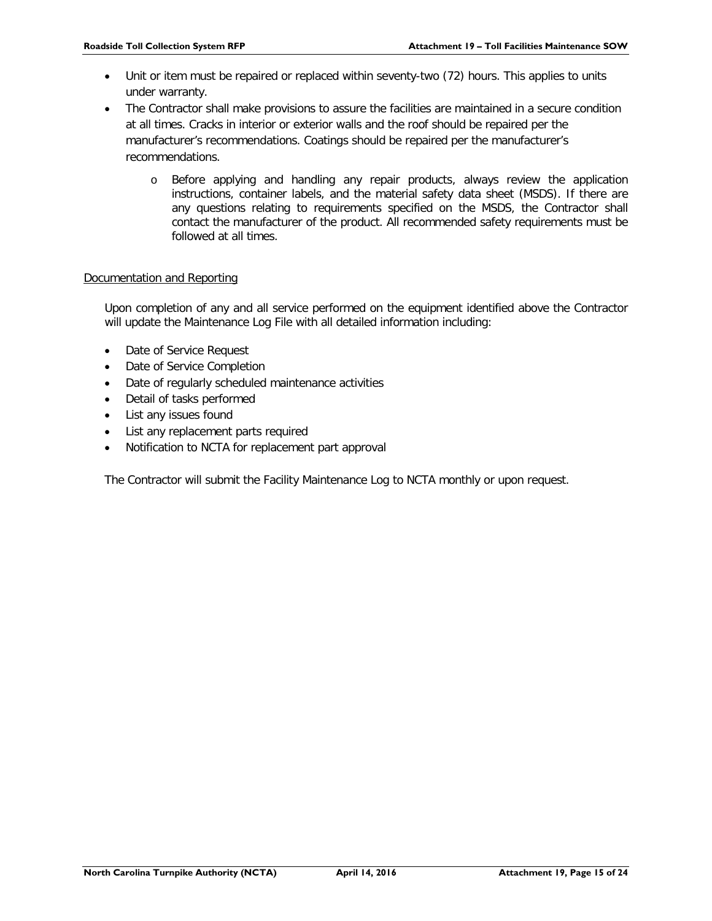- Unit or item must be repaired or replaced within seventy-two (72) hours. This applies to units under warranty.
- The Contractor shall make provisions to assure the facilities are maintained in a secure condition at all times. Cracks in interior or exterior walls and the roof should be repaired per the manufacturer's recommendations. Coatings should be repaired per the manufacturer's recommendations.
	- o Before applying and handling any repair products, always review the application instructions, container labels, and the material safety data sheet (MSDS). If there are any questions relating to requirements specified on the MSDS, the Contractor shall contact the manufacturer of the product. All recommended safety requirements must be followed at all times.

# Documentation and Reporting

Upon completion of any and all service performed on the equipment identified above the Contractor will update the Maintenance Log File with all detailed information including:

- Date of Service Request
- Date of Service Completion
- Date of regularly scheduled maintenance activities
- Detail of tasks performed
- List any issues found
- List any replacement parts required
- Notification to NCTA for replacement part approval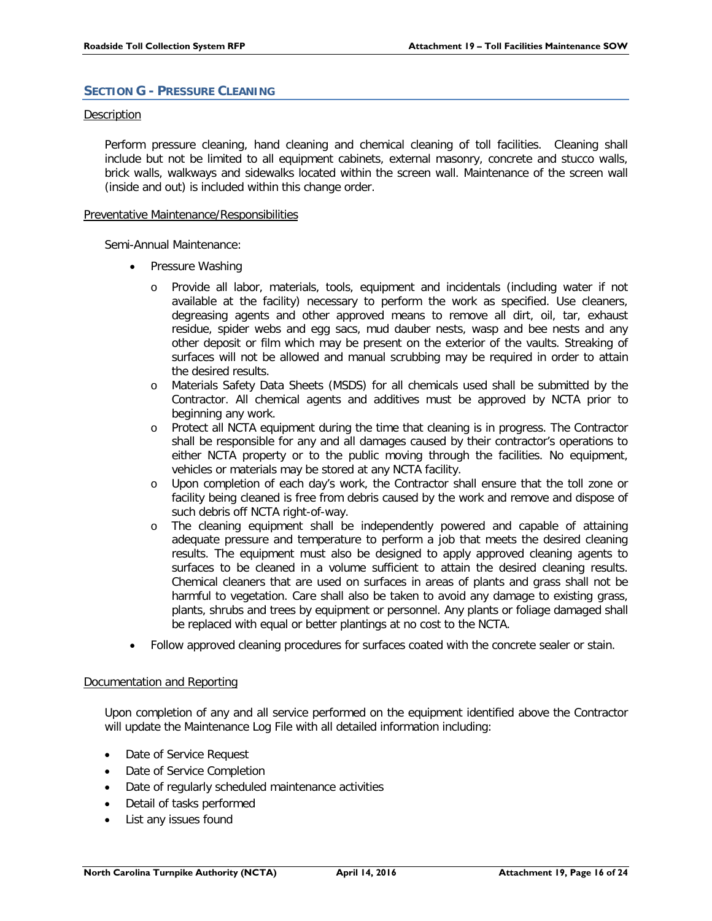# <span id="page-17-0"></span>**SECTION G - PRESSURE CLEANING**

# Description

Perform pressure cleaning, hand cleaning and chemical cleaning of toll facilities. Cleaning shall include but not be limited to all equipment cabinets, external masonry, concrete and stucco walls, brick walls, walkways and sidewalks located within the screen wall. Maintenance of the screen wall (inside and out) is included within this change order.

# Preventative Maintenance/Responsibilities

Semi-Annual Maintenance:

- Pressure Washing
	- o Provide all labor, materials, tools, equipment and incidentals (including water if not available at the facility) necessary to perform the work as specified. Use cleaners, degreasing agents and other approved means to remove all dirt, oil, tar, exhaust residue, spider webs and egg sacs, mud dauber nests, wasp and bee nests and any other deposit or film which may be present on the exterior of the vaults. Streaking of surfaces will not be allowed and manual scrubbing may be required in order to attain the desired results.
	- o Materials Safety Data Sheets (MSDS) for all chemicals used shall be submitted by the Contractor. All chemical agents and additives must be approved by NCTA prior to beginning any work.
	- o Protect all NCTA equipment during the time that cleaning is in progress. The Contractor shall be responsible for any and all damages caused by their contractor's operations to either NCTA property or to the public moving through the facilities. No equipment, vehicles or materials may be stored at any NCTA facility.
	- o Upon completion of each day's work, the Contractor shall ensure that the toll zone or facility being cleaned is free from debris caused by the work and remove and dispose of such debris off NCTA right-of-way.
	- o The cleaning equipment shall be independently powered and capable of attaining adequate pressure and temperature to perform a job that meets the desired cleaning results. The equipment must also be designed to apply approved cleaning agents to surfaces to be cleaned in a volume sufficient to attain the desired cleaning results. Chemical cleaners that are used on surfaces in areas of plants and grass shall not be harmful to vegetation. Care shall also be taken to avoid any damage to existing grass, plants, shrubs and trees by equipment or personnel. Any plants or foliage damaged shall be replaced with equal or better plantings at no cost to the NCTA.
- Follow approved cleaning procedures for surfaces coated with the concrete sealer or stain.

# Documentation and Reporting

Upon completion of any and all service performed on the equipment identified above the Contractor will update the Maintenance Log File with all detailed information including:

- Date of Service Request
- Date of Service Completion
- Date of regularly scheduled maintenance activities
- Detail of tasks performed
- List any issues found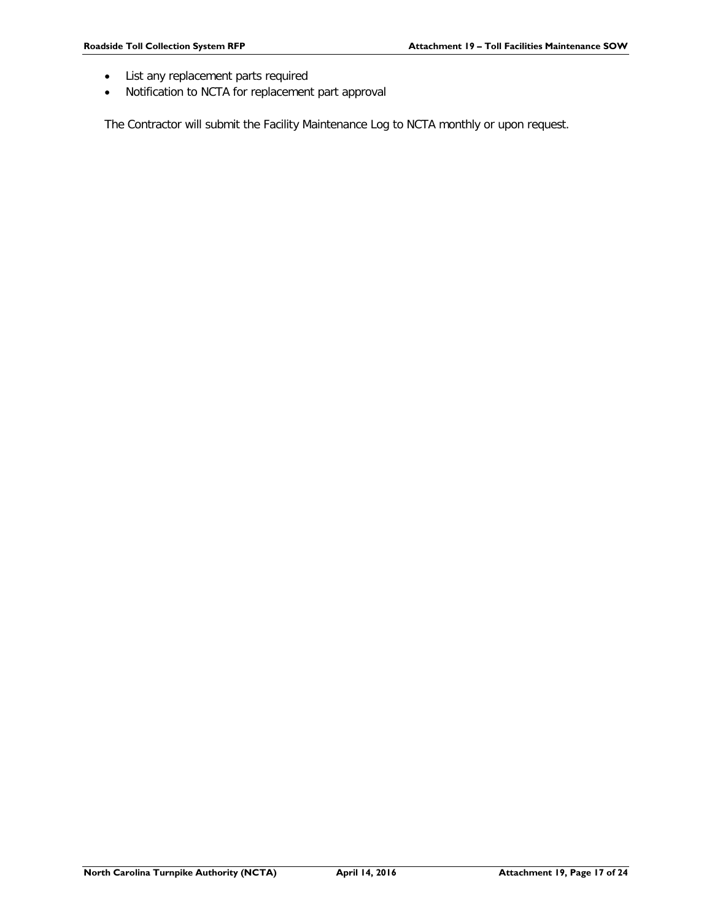- List any replacement parts required
- Notification to NCTA for replacement part approval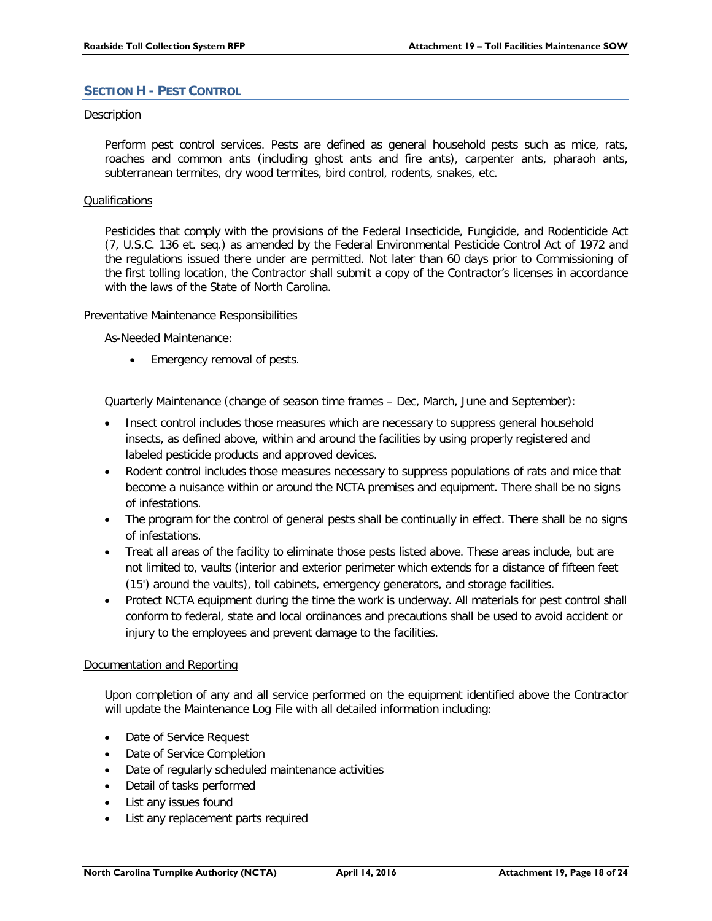# <span id="page-19-0"></span>**SECTION H - PEST CONTROL**

# Description

Perform pest control services. Pests are defined as general household pests such as mice, rats, roaches and common ants (including ghost ants and fire ants), carpenter ants, pharaoh ants, subterranean termites, dry wood termites, bird control, rodents, snakes, etc.

# Qualifications

Pesticides that comply with the provisions of the Federal Insecticide, Fungicide, and Rodenticide Act (7, U.S.C. 136 et. seq.) as amended by the Federal Environmental Pesticide Control Act of 1972 and the regulations issued there under are permitted. Not later than 60 days prior to Commissioning of the first tolling location, the Contractor shall submit a copy of the Contractor's licenses in accordance with the laws of the State of North Carolina.

# Preventative Maintenance Responsibilities

As-Needed Maintenance:

• Emergency removal of pests.

Quarterly Maintenance (change of season time frames – Dec, March, June and September):

- Insect control includes those measures which are necessary to suppress general household insects, as defined above, within and around the facilities by using properly registered and labeled pesticide products and approved devices.
- Rodent control includes those measures necessary to suppress populations of rats and mice that become a nuisance within or around the NCTA premises and equipment. There shall be no signs of infestations.
- The program for the control of general pests shall be continually in effect. There shall be no signs of infestations.
- Treat all areas of the facility to eliminate those pests listed above. These areas include, but are not limited to, vaults (interior and exterior perimeter which extends for a distance of fifteen feet (15') around the vaults), toll cabinets, emergency generators, and storage facilities.
- Protect NCTA equipment during the time the work is underway. All materials for pest control shall conform to federal, state and local ordinances and precautions shall be used to avoid accident or injury to the employees and prevent damage to the facilities.

# Documentation and Reporting

Upon completion of any and all service performed on the equipment identified above the Contractor will update the Maintenance Log File with all detailed information including:

- Date of Service Request
- Date of Service Completion
- Date of regularly scheduled maintenance activities
- Detail of tasks performed
- List any issues found
- List any replacement parts required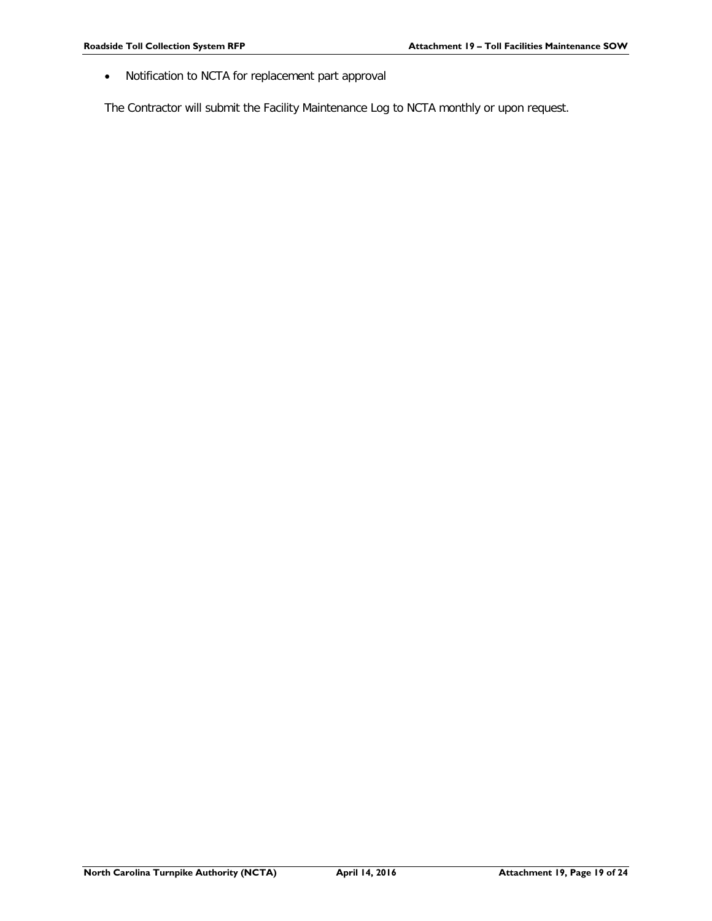• Notification to NCTA for replacement part approval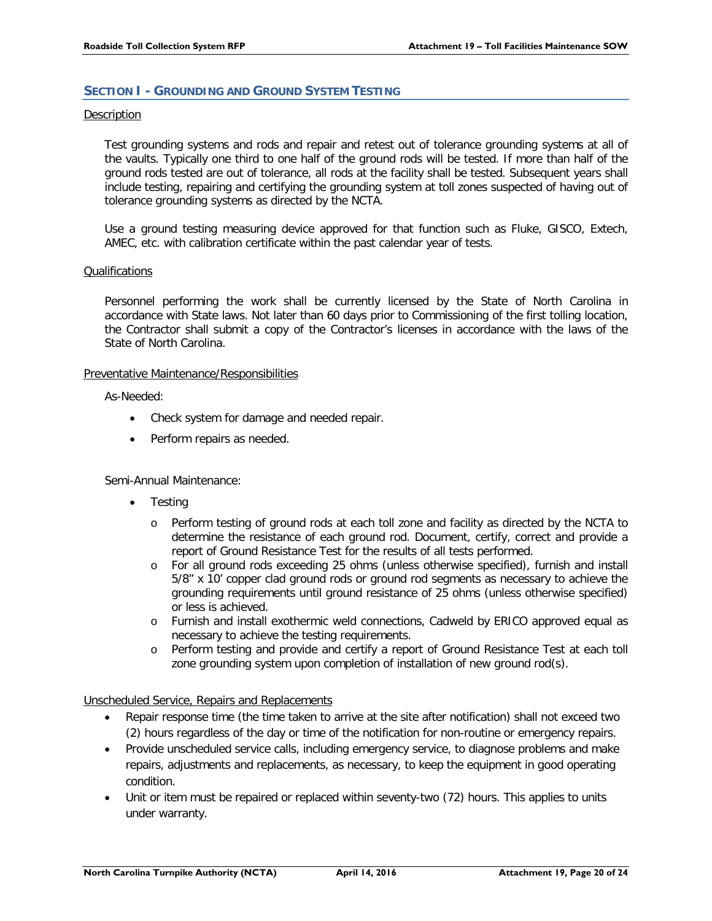# <span id="page-21-0"></span>**SECTION I - GROUNDING AND GROUND SYSTEM TESTING**

# Description

Test grounding systems and rods and repair and retest out of tolerance grounding systems at all of the vaults. Typically one third to one half of the ground rods will be tested. If more than half of the ground rods tested are out of tolerance, all rods at the facility shall be tested. Subsequent years shall include testing, repairing and certifying the grounding system at toll zones suspected of having out of tolerance grounding systems as directed by the NCTA.

Use a ground testing measuring device approved for that function such as Fluke, GISCO, Extech, AMEC, etc. with calibration certificate within the past calendar year of tests.

# **Qualifications**

Personnel performing the work shall be currently licensed by the State of North Carolina in accordance with State laws. Not later than 60 days prior to Commissioning of the first tolling location, the Contractor shall submit a copy of the Contractor's licenses in accordance with the laws of the State of North Carolina.

# Preventative Maintenance/Responsibilities

As-Needed:

- Check system for damage and needed repair.
- Perform repairs as needed.

Semi-Annual Maintenance:

- Testing
	- o Perform testing of ground rods at each toll zone and facility as directed by the NCTA to determine the resistance of each ground rod. Document, certify, correct and provide a report of Ground Resistance Test for the results of all tests performed.
	- o For all ground rods exceeding 25 ohms (unless otherwise specified), furnish and install 5/8" x 10' copper clad ground rods or ground rod segments as necessary to achieve the grounding requirements until ground resistance of 25 ohms (unless otherwise specified) or less is achieved.
	- o Furnish and install exothermic weld connections, Cadweld by ERICO approved equal as necessary to achieve the testing requirements.
	- o Perform testing and provide and certify a report of Ground Resistance Test at each toll zone grounding system upon completion of installation of new ground rod(s).

# Unscheduled Service, Repairs and Replacements

- Repair response time (the time taken to arrive at the site after notification) shall not exceed two (2) hours regardless of the day or time of the notification for non-routine or emergency repairs.
- Provide unscheduled service calls, including emergency service, to diagnose problems and make repairs, adjustments and replacements, as necessary, to keep the equipment in good operating condition.
- Unit or item must be repaired or replaced within seventy-two (72) hours. This applies to units under warranty.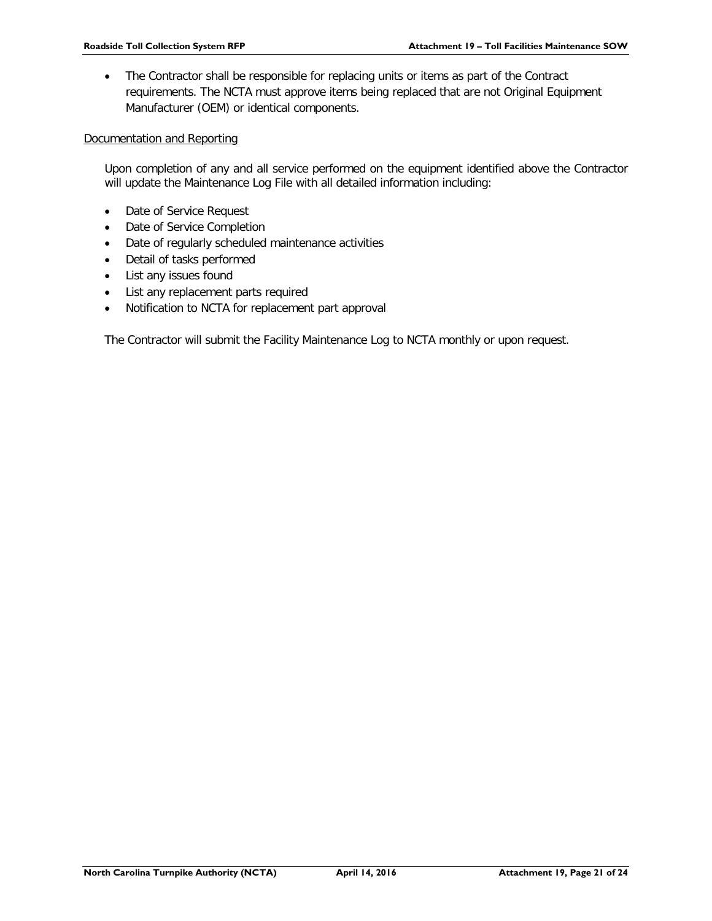• The Contractor shall be responsible for replacing units or items as part of the Contract requirements. The NCTA must approve items being replaced that are not Original Equipment Manufacturer (OEM) or identical components.

Documentation and Reporting

Upon completion of any and all service performed on the equipment identified above the Contractor will update the Maintenance Log File with all detailed information including:

- Date of Service Request
- Date of Service Completion
- Date of regularly scheduled maintenance activities
- Detail of tasks performed
- List any issues found
- List any replacement parts required
- Notification to NCTA for replacement part approval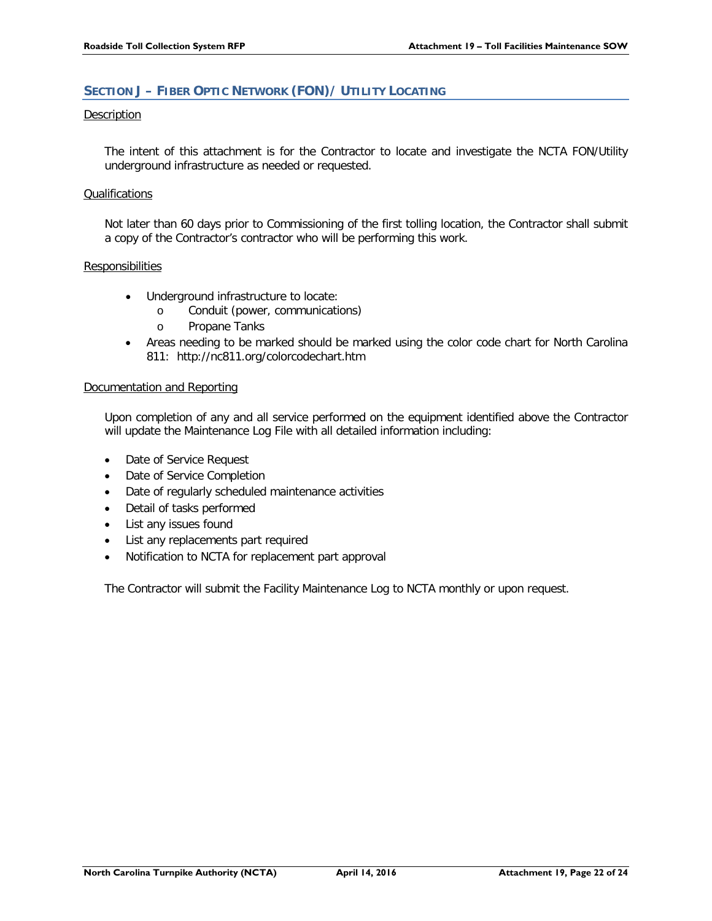# <span id="page-23-0"></span>**SECTION J – FIBER OPTIC NETWORK (FON)/ UTILITY LOCATING**

# Description

The intent of this attachment is for the Contractor to locate and investigate the NCTA FON/Utility underground infrastructure as needed or requested.

# Qualifications

Not later than 60 days prior to Commissioning of the first tolling location, the Contractor shall submit a copy of the Contractor's contractor who will be performing this work.

# **Responsibilities**

- Underground infrastructure to locate:
	- o Conduit (power, communications)
	- o Propane Tanks
- Areas needing to be marked should be marked using the color code chart for North Carolina 811: <http://nc811.org/colorcodechart.htm>

# Documentation and Reporting

Upon completion of any and all service performed on the equipment identified above the Contractor will update the Maintenance Log File with all detailed information including:

- Date of Service Request
- Date of Service Completion
- Date of regularly scheduled maintenance activities
- Detail of tasks performed
- List any issues found
- List any replacements part required
- Notification to NCTA for replacement part approval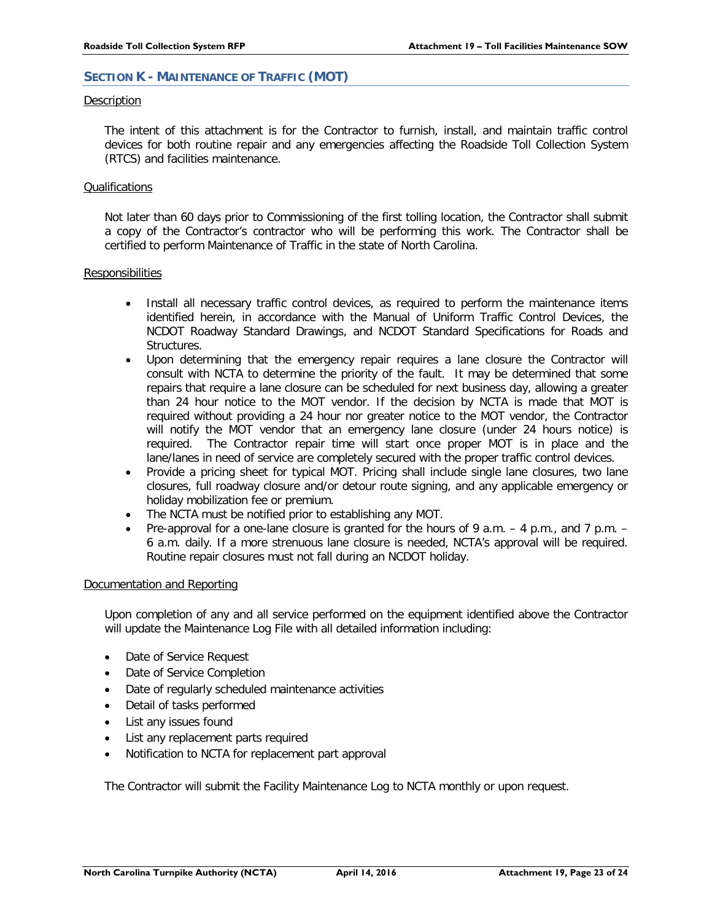# <span id="page-24-0"></span>**SECTION K - MAINTENANCE OF TRAFFIC (MOT)**

#### Description

The intent of this attachment is for the Contractor to furnish, install, and maintain traffic control devices for both routine repair and any emergencies affecting the Roadside Toll Collection System (RTCS) and facilities maintenance.

# Qualifications

Not later than 60 days prior to Commissioning of the first tolling location, the Contractor shall submit a copy of the Contractor's contractor who will be performing this work. The Contractor shall be certified to perform Maintenance of Traffic in the state of North Carolina.

# Responsibilities

- Install all necessary traffic control devices, as required to perform the maintenance items identified herein, in accordance with the Manual of Uniform Traffic Control Devices, the NCDOT Roadway Standard Drawings, and NCDOT Standard Specifications for Roads and Structures.
- Upon determining that the emergency repair requires a lane closure the Contractor will consult with NCTA to determine the priority of the fault. It may be determined that some repairs that require a lane closure can be scheduled for next business day, allowing a greater than 24 hour notice to the MOT vendor. If the decision by NCTA is made that MOT is required without providing a 24 hour nor greater notice to the MOT vendor, the Contractor will notify the MOT vendor that an emergency lane closure (under 24 hours notice) is required. The Contractor repair time will start once proper MOT is in place and the lane/lanes in need of service are completely secured with the proper traffic control devices.
- Provide a pricing sheet for typical MOT. Pricing shall include single lane closures, two lane closures, full roadway closure and/or detour route signing, and any applicable emergency or holiday mobilization fee or premium.
- The NCTA must be notified prior to establishing any MOT.
- Pre-approval for a one-lane closure is granted for the hours of 9 a.m.  $-$  4 p.m., and 7 p.m.  $-$ 6 a.m. daily. If a more strenuous lane closure is needed, NCTA's approval will be required. Routine repair closures must not fall during an NCDOT holiday.

# Documentation and Reporting

Upon completion of any and all service performed on the equipment identified above the Contractor will update the Maintenance Log File with all detailed information including:

- Date of Service Request
- Date of Service Completion
- Date of regularly scheduled maintenance activities
- Detail of tasks performed
- List any issues found
- List any replacement parts required
- Notification to NCTA for replacement part approval